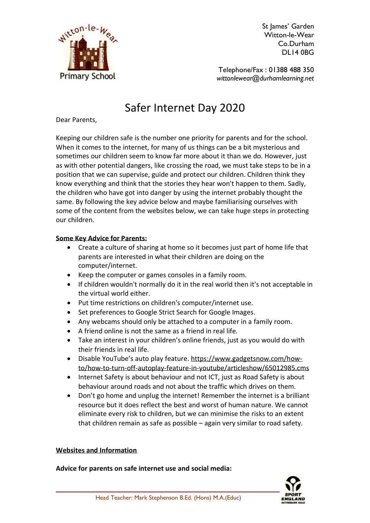

St lames' Garden Witton-le-Wear Co.Durham DL14 0BG

Telephone/Fax : 01388 488 350 *wittonlewear@durhamlearning.net*

# Safer Internet Day 2020

Dear Parents,

Keeping our children safe is the number one priority for parents and for the school. When it comes to the internet, for many of us things can be a bit mysterious and sometimes our children seem to know far more about it than we do. However, just as with other potential dangers, like crossing the road, we must take steps to be in a position that we can supervise, guide and protect our children. Children think they know everything and think that the stories they hear won't happen to them. Sadly, the children who have got into danger by using the internet probably thought the same. By following the key advice below and maybe familiarising ourselves with some of the content from the websites below, we can take huge steps in protecting our children.

#### **Some Key Advice for Parents:**

- Create a culture of sharing at home so it becomes just part of home life that parents are interested in what their children are doing on the computer/internet.
- Keep the computer or games consoles in a family room.
- If children wouldn't normally do it in the real world then it's not acceptable in the virtual world either.
- Put time restrictions on children's computer/internet use.
- Set preferences to Google Strict Search for Google Images.
- Any webcams should only be attached to a computer in a family room.
- A friend online is not the same as a friend in real life.
- Take an interest in your children's online friends, just as you would do with their friends in real life.
- Disable YouTube's auto play feature. [https://www.gadgetsnow.com/how](https://www.gadgetsnow.com/how-to/how-to-turn-off-autoplay-feature-in-youtube/articleshow/65012985.cms)[to/how-to-turn-off-autoplay-feature-in-youtube/articleshow/65012985.cms](https://www.gadgetsnow.com/how-to/how-to-turn-off-autoplay-feature-in-youtube/articleshow/65012985.cms)
- Internet Safety is about behaviour and not ICT, just as Road Safety is about behaviour around roads and not about the traffic which drives on them.
- Don't go home and unplug the internet! Remember the internet is a brilliant resource but it does reflect the best and worst of human nature. We cannot eliminate every risk to children, but we can minimise the risks to an extent that children remain as safe as possible – again very similar to road safety.

#### **Websites and Information**

**Advice for parents on safe internet use and social media:**